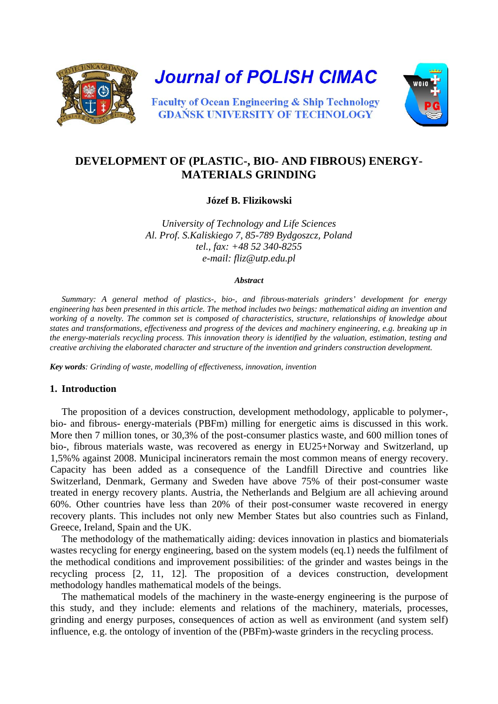

**Journal of POLISH CIMAC** 



**Faculty of Ocean Engineering & Ship Technology GDANSK UNIVERSITY OF TECHNOLOGY** 

# **DEVELOPMENT OF (PLASTIC-, BIO- AND FIBROUS) ENERGY-MATERIALS GRINDING**

**Józef B. Flizikowski**

*University of Technology and Life Sciences Al. Prof. S.Kaliskiego 7, 85-789 Bydgoszcz, Poland tel., fax: +48 52 340-8255 e-mail: [fliz@utp.edu.pl](mailto:fliz@utp.edu.pl)*

#### *Abstract*

*Summary: A general method of plastics-, bio-, and fibrous-materials grinders' development for energy engineering has been presented in this article. The method includes two beings: mathematical aiding an invention and working of a novelty. The common set is composed of characteristics, structure, relationships of knowledge about states and transformations, effectiveness and progress of the devices and machinery engineering, e.g. breaking up in the energy-materials recycling process. This innovation theory is identified by the valuation, estimation, testing and creative archiving the elaborated character and structure of the invention and grinders construction development.* 

*Key words: Grinding of waste, modelling of effectiveness, innovation, invention*

#### **1. Introduction**

The proposition of a devices construction, development methodology, applicable to polymer-, bio- and fibrous- energy-materials (PBFm) milling for energetic aims is discussed in this work. More then 7 million tones, or 30,3% of the post-consumer plastics waste, and 600 million tones of bio-, fibrous materials waste, was recovered as energy in EU25+Norway and Switzerland, up 1,5%% against 2008. Municipal incinerators remain the most common means of energy recovery. Capacity has been added as a consequence of the Landfill Directive and countries like Switzerland, Denmark, Germany and Sweden have above 75% of their post-consumer waste treated in energy recovery plants. Austria, the Netherlands and Belgium are all achieving around 60%. Other countries have less than 20% of their post-consumer waste recovered in energy recovery plants. This includes not only new Member States but also countries such as Finland, Greece, Ireland, Spain and the UK.

The methodology of the mathematically aiding: devices innovation in plastics and biomaterials wastes recycling for energy engineering, based on the system models (eq.1) needs the fulfilment of the methodical conditions and improvement possibilities: of the grinder and wastes beings in the recycling process [2, 11, 12]. The proposition of a devices construction, development methodology handles mathematical models of the beings.

The mathematical models of the machinery in the waste-energy engineering is the purpose of this study, and they include: elements and relations of the machinery, materials, processes, grinding and energy purposes, consequences of action as well as environment (and system self) influence, e.g. the ontology of invention of the (PBFm)-waste grinders in the recycling process.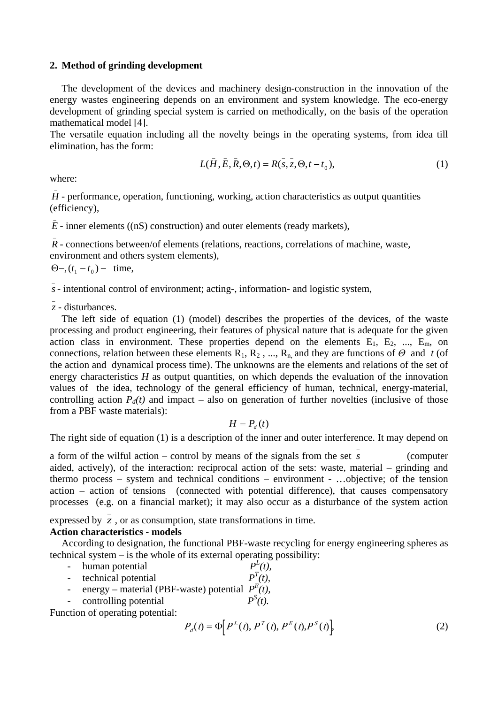#### **2. Method of grinding development**

The development of the devices and machinery design-construction in the innovation of the energy wastes engineering depends on an environment and system knowledge. The eco-energy development of grinding special system is carried on methodically, on the basis of the operation mathematical model [4].

The versatile equation including all the novelty beings in the operating systems, from idea till elimination, has the form:

$$
L(\bar{H}, \bar{E}, \bar{R}, \Theta, t) = R(s, \bar{z}, \Theta, t - t_0),
$$
 (1)

where:

\_

\_  $H$  - performance, operation, functioning, working, action characteristics as output quantities (efficiency),

 $\bar{E}$  - inner elements ((nS) construction) and outer elements (ready markets),

\_  $\overline{R}$  - connections between/of elements (relations, reactions, correlations of machine, waste, environment and others system elements),

 $\Theta$ –,  $(t_1 - t_0)$  – time,

*s*- intentional control of environment; acting-, information- and logistic system,

\_ *z* - disturbances.

The left side of equation (1) (model) describes the properties of the devices, of the waste processing and product engineering, their features of physical nature that is adequate for the given action class in environment. These properties depend on the elements  $E_1$ ,  $E_2$ , ...,  $E_m$ , on connections, relation between these elements  $R_1, R_2, ..., R_n$  and they are functions of  $\Theta$  and *t* (of the action and dynamical process time). The unknowns are the elements and relations of the set of energy characteristics *H* as output quantities, on which depends the evaluation of the innovation values of the idea, technology of the general efficiency of human, technical, energy-material, controlling action  $P_d(t)$  and impact – also on generation of further novelties (inclusive of those from a PBF waste materials):

$$
H=P_{d}\left(t\right)
$$

The right side of equation (1) is a description of the inner and outer interference. It may depend on

a form of the wilful action – control by means of the signals from the set  $s$ *s* (computer aided, actively), of the interaction: reciprocal action of the sets: waste, material – grinding and thermo process – system and technical conditions – environment - …objective; of the tension action – action of tensions (connected with potential difference), that causes compensatory processes (e.g. on a financial market); it may also occur as a disturbance of the system action

expressed by  $\overline{z}$ , or as consumption, state transformations in time.

#### **Action characteristics - models**

According to designation, the functional PBF-waste recycling for energy engineering spheres as technical system – is the whole of its external operating possibility:

 $P^L(t)$ 

 $P^{S}(t)$ .

- human potential
- technical potential  $P^{T}(t)$ ,
- energy material (PBF-waste) potential  $P^{E}(t)$ ,
- controlling potential

Function of operating potential:

$$
P_d(t) = \Phi[P^L(t), P^T(t), P^E(t), P^S(t)],
$$
\n(2)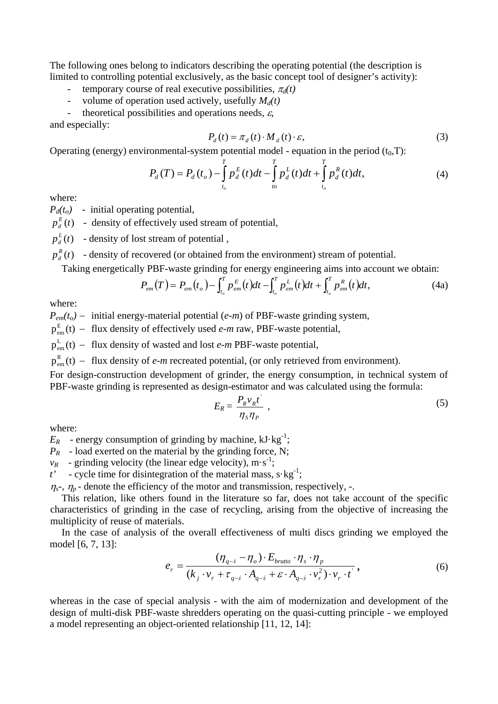The following ones belong to indicators describing the operating potential (the description is limited to controlling potential exclusively, as the basic concept tool of designer's activity):

- temporary course of real executive possibilities,  $\pi_d(t)$
- volume of operation used actively, usefully  $M_d(t)$
- theoretical possibilities and operations needs,  $\varepsilon$ ,

and especially:

$$
P_d(t) = \pi_d(t) \cdot M_d(t) \cdot \varepsilon,\tag{3}
$$

Operating (energy) environmental-system potential model - equation in the period  $(t_0,T)$ :

$$
P_d(T) = P_d(t_o) - \int_{t_o}^{T} p_d^E(t)dt - \int_{t_o}^{T} p_d^L(t)dt + \int_{t_o}^{T} p_d^R(t)dt,
$$
\n(4)

where:

 $P_d(t_o)$  - initial operating potential,

 $p_d^E(t)$  - density of effectively used stream of potential,

 $p_d^L(t)$  - density of lost stream of potential,

 $p_d^R(t)$  - density of recovered (or obtained from the environment) stream of potential.

Taking energetically PBF-waste grinding for energy engineering aims into account we obtain:

$$
P_{em}(T) = P_{em}(t_o) - \int_{t_o}^{T} P_{em}^{E}(t)dt - \int_{t_o}^{T} P_{em}^{L}(t)dt + \int_{t_o}^{T} P_{em}^{R}(t)dt,
$$
\n(4a)

where:

*P<sub>em</sub>*( $t_o$ ) − initial energy-material potential (*e-m*) of PBF-waste grinding system,

 $p_{em}^{E}(t)$  – flux density of effectively used *e-m* raw, PBF-waste potential,

 $p_{em}^{L}(t)$  – flux density of wasted and lost *e-m* PBF-waste potential,

 $p_{em}^{R}(t)$  – flux density of *e-m* recreated potential, (or only retrieved from environment).

For design-construction development of grinder, the energy consumption, in technical system of PBF-waste grinding is represented as design-estimator and was calculated using the formula:

$$
E_R = \frac{P_R v_R t}{\eta_S \eta_P} \tag{5}
$$

where:

 $E_R$  - energy consumption of grinding by machine,  $kJ \cdot kg^{-1}$ ;

 $P_R$  - load exerted on the material by the grinding force, N;

 $v_R$  - grinding velocity (the linear edge velocity), m·s<sup>-1</sup>;

 $t'$  - cycle time for disintegration of the material mass,  $s \cdot kg^{-1}$ ;

 $\eta_s$ -,  $\eta_p$ - denote the efficiency of the motor and transmission, respectively, -.

This relation, like others found in the literature so far, does not take account of the specific characteristics of grinding in the case of recycling, arising from the objective of increasing the multiplicity of reuse of materials.

In the case of analysis of the overall effectiveness of multi discs grinding we employed the model [6, 7, 13]:  $\mathcal{L}$  ) and  $\mathcal{L}$ 

$$
e_r = \frac{(\eta_{q-s} - \eta_o) \cdot E_{brutto} \cdot \eta_s \cdot \eta_p}{(k_j \cdot v_r + \tau_{q-s} \cdot A_{q-s} + \varepsilon \cdot A_{q-s} \cdot v_r^2) \cdot v_r \cdot t},
$$
(6)

whereas in the case of special analysis - with the aim of modernization and development of the design of multi-disk PBF-waste shredders operating on the quasi-cutting principle - we employed a model representing an object-oriented relationship [11, 12, 14]: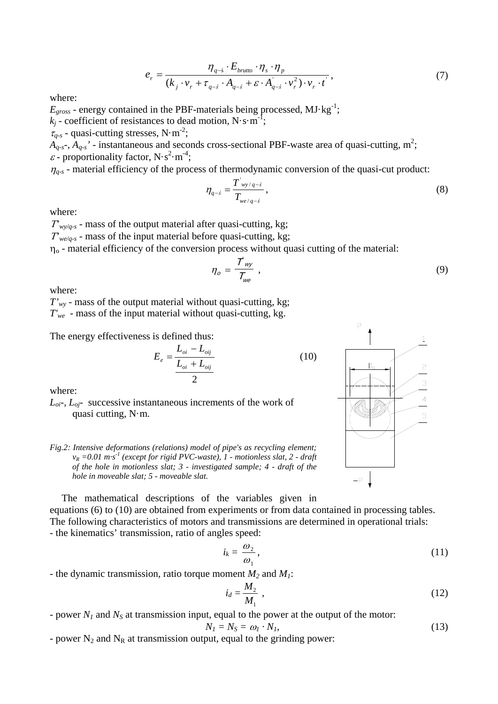$$
e_r = \frac{\eta_{q-\hat{s}} \cdot E_{brutto} \cdot \eta_s \cdot \eta_p}{(k_j \cdot v_r + \tau_{q-\hat{s}} \cdot A_{q-\hat{s}} + \varepsilon \cdot A_{q-\hat{s}} \cdot v_r^2) \cdot v_r \cdot t},
$$
\n<sup>(7)</sup>

where:

 $E_{gross}$  - energy contained in the PBF-materials being processed,  $MJ·kg^{-1}$ ;  $k_j$  - coefficient of resistances to dead motion, N·s·m<sup>-1</sup>;

 $\tau_{q-s}$  - quasi-cutting stresses, N·m<sup>-2</sup>;

 $A_{q.s.}$ ,  $A_{q.s.}$ ' - instantaneous and seconds cross-sectional PBF-waste area of quasi-cutting, m<sup>2</sup>;  $\varepsilon$  - proportionality factor, N·s<sup>2</sup>·m<sup>-4</sup>;

 $\eta_{q-s}$  - material efficiency of the process of thermodynamic conversion of the quasi-cut product:

$$
\eta_{q-s} = \frac{T'_{wy/q-s}}{T_{we/q-s}},
$$
\n(8)

where:

<sup>Τ</sup>*'wy/q-s* - mass of the output material after quasi-cutting, kg;

<sup>Τ</sup>*'we/q-s* - mass of the input material before quasi-cutting, kg;

 $\eta$ <sup>o</sup> - material efficiency of the conversion process without quasi cutting of the material:

$$
\eta_o = \frac{\mathcal{T}_{wy}}{\mathcal{T}_{we}} \,, \tag{9}
$$

where:

*T'wy* - mass of the output material without quasi-cutting, kg; *T'we* - mass of the input material without quasi-cutting, kg.

*E*

The energy effectiveness is defined thus:

$$
E_e = \frac{L_{oi} - L_{oi}}{L_{oi} + L_{oi}} \tag{10}
$$

where:

*Loi-, Loj-* successive instantaneous increments of the work of quasi cutting,  $N \cdot m$ .





The mathematical descriptions of the variables given in equations (6) to (10) are obtained from experiments or from data contained in processing tables. The following characteristics of motors and transmissions are determined in operational trials:

- the kinematics' transmission, ratio of angles speed:

$$
i_k = \frac{\omega_2}{\omega_1},\tag{11}
$$

- the dynamic transmission, ratio torque moment *M2* and *M1*:

$$
i_d = \frac{M_2}{M_1} \tag{12}
$$

- power  $N_1$  and  $N_s$  at transmission input, equal to the power at the output of the motor:

$$
N_I = N_S = \omega_I \cdot N_I, \tag{13}
$$

- power  $N_2$  and  $N_R$  at transmission output, equal to the grinding power: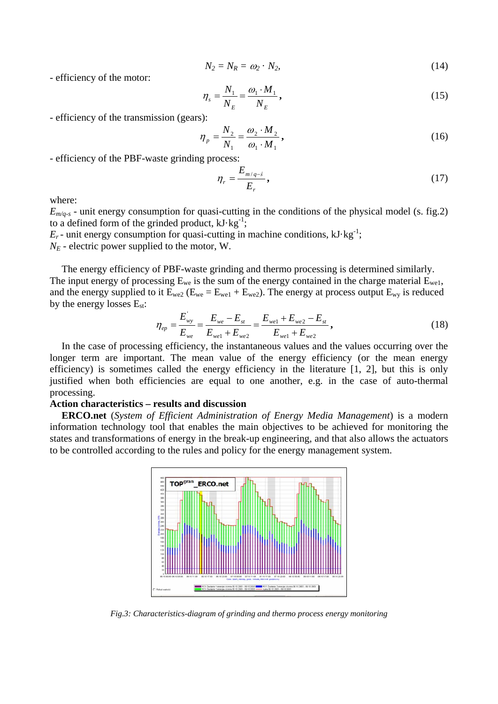$$
N_2 = N_R = \omega_2 \cdot N_2,\tag{14}
$$

- efficiency of the motor:

$$
\eta_s = \frac{N_1}{N_E} = \frac{\omega_1 \cdot M_1}{N_E},\tag{15}
$$

- efficiency of the transmission (gears):

$$
\eta_{p} = \frac{N_{2}}{N_{1}} = \frac{\omega_{2} \cdot M_{2}}{\omega_{1} \cdot M_{1}},
$$
\n(16)

- efficiency of the PBF-waste grinding process:

$$
\eta_r = \frac{E_{m/q-\dot{s}}}{E_r},\tag{17}
$$

where:

 $E_{m/q-s}$  - unit energy consumption for quasi-cutting in the conditions of the physical model (s. fig. 2) to a defined form of the grinded product,  $kJ \cdot kg^{-1}$ ;

 $E_r$ - unit energy consumption for quasi-cutting in machine conditions,  $kJ \cdot kg^{-1}$ ;

 $N_E$  - electric power supplied to the motor, W.

The energy efficiency of PBF-waste grinding and thermo processing is determined similarly. The input energy of processing  $E_{we}$  is the sum of the energy contained in the charge material  $E_{we1}$ , and the energy supplied to it  $E_{we2}$  ( $E_{we} = E_{we1} + E_{we2}$ ). The energy at process output  $E_{wy}$  is reduced by the energy losses  $E_{st}$ :

$$
\eta_{ep} = \frac{E_{wy}}{E_{we}} = \frac{E_{we} - E_{st}}{E_{wel} + E_{we2}} = \frac{E_{wel} + E_{we2} - E_{st}}{E_{wel} + E_{we2}},
$$
\n(18)

In the case of processing efficiency, the instantaneous values and the values occurring over the longer term are important. The mean value of the energy efficiency (or the mean energy efficiency) is sometimes called the energy efficiency in the literature [1, 2], but this is only justified when both efficiencies are equal to one another, e.g. in the case of auto-thermal processing.

### **Action characteristics – results and discussion**

**ERCO.net** (*System of Efficient Administration of Energy Media Management*) is a modern information technology tool that enables the main objectives to be achieved for monitoring the states and transformations of energy in the break-up engineering, and that also allows the actuators to be controlled according to the rules and policy for the energy management system.



*Fig.3: Characteristics-diagram of grinding and thermo process energy monitoring*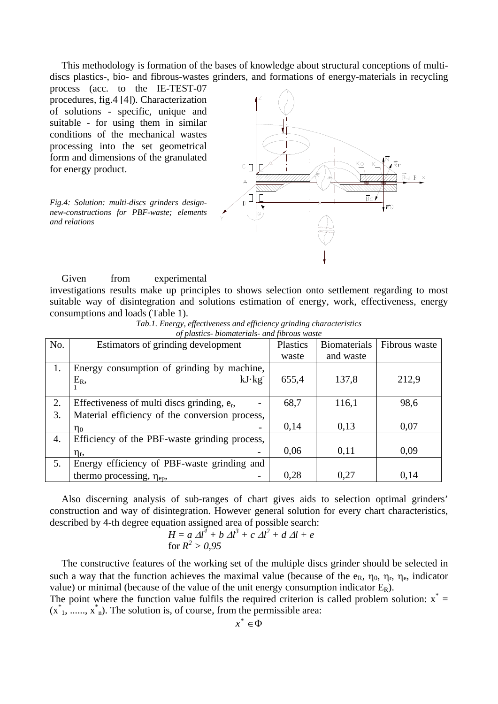This methodology is formation of the bases of knowledge about structural conceptions of multidiscs plastics-, bio- and fibrous-wastes grinders, and formations of energy-materials in recycling

process (acc. to the IE-TEST-07 procedures, fig.4 [4]). Characterization of solutions - specific, unique and suitable - for using them in similar conditions of the mechanical wastes processing into the set geometrical form and dimensions of the granulated for energy product.

*Fig.4: Solution: multi-discs grinders designnew-constructions for PBF-waste; elements and relations*



Given from experimental investigations results make up principles to shows selection onto settlement regarding to most suitable way of disintegration and solutions estimation of energy, work, effectiveness, energy consumptions and loads (Table 1).

| Tab.1. Energy, effectiveness and efficiency grinding characteristics |        |  |  |  |  |  |
|----------------------------------------------------------------------|--------|--|--|--|--|--|
| of plastics-biomaterials- and fibrous waste                          |        |  |  |  |  |  |
|                                                                      | $\sim$ |  |  |  |  |  |

| No. | Estimators of grinding development             | Plastics | <b>Biomaterials</b> | Fibrous waste |
|-----|------------------------------------------------|----------|---------------------|---------------|
|     |                                                | waste    | and waste           |               |
| 1.  | Energy consumption of grinding by machine,     |          |                     |               |
|     | $kJ \cdot kg$<br>$E_R$                         | 655,4    | 137,8               | 212,9         |
|     |                                                |          |                     |               |
| 2.  | Effectiveness of multi discs grinding, $e_r$ , | 68,7     | 116,1               | 98,6          |
| 3.  | Material efficiency of the conversion process, |          |                     |               |
|     | $\eta_0$                                       | 0,14     | 0,13                | 0,07          |
| 4.  | Efficiency of the PBF-waste grinding process,  |          |                     |               |
|     | $\eta_{\rm r}$                                 | 0,06     | 0,11                | 0,09          |
| 5.  | Energy efficiency of PBF-waste grinding and    |          |                     |               |
|     | thermo processing, $\eta_{ep}$ ,               | 0,28     | 0,27                | 0,14          |

Also discerning analysis of sub-ranges of chart gives aids to selection optimal grinders' construction and way of disintegration. However general solution for every chart characteristics, described by 4-th degree equation assigned area of possible search:

$$
H = a \Delta l^4 + b \Delta l^3 + c \Delta l^2 + d \Delta l + e
$$
  
for  $R^2 > 0.95$ 

The constructive features of the working set of the multiple discs grinder should be selected in such a way that the function achieves the maximal value (because of the  $e_R$ ,  $\eta_0$ ,  $\eta_r$ ,  $\eta_e$ , indicator value) or minimal (because of the value of the unit energy consumption indicator  $E_R$ ).

The point where the function value fulfils the required criterion is called problem solution:  $x^* =$  $(x<sup>*</sup><sub>1</sub>, ..., x<sup>*</sup><sub>n</sub>)$ . The solution is, of course, from the permissible area: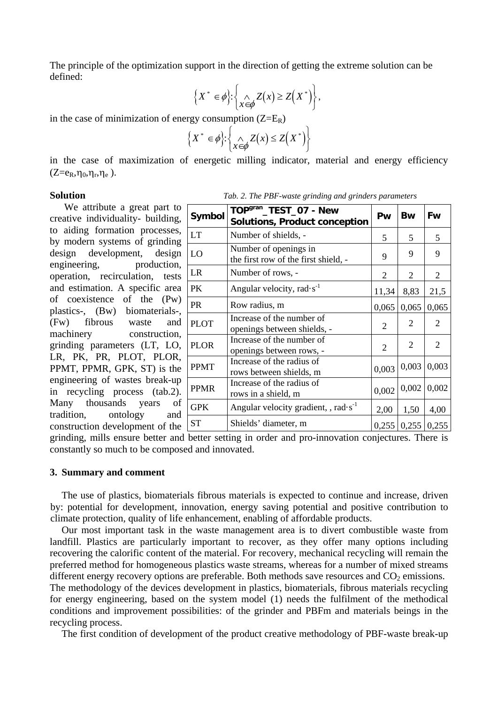The principle of the optimization support in the direction of getting the extreme solution can be defined:

$$
\left\{X^* \in \phi\right\}: \left\{\bigwedge_{x \in \phi} Z(x) \geq Z\left(X^*\right)\right\},\
$$

in the case of minimization of energy consumption  $(Z=E_R)$ 

$$
\left\{X^* \in \phi\right\} : \left\{\bigwedge_{x \in \phi} Z(x) \le Z\left(X^*\right)\right\}
$$

in the case of maximization of energetic milling indicator, material and energy efficiency  $(Z=$  $e_R, \eta_0, \eta_r, \eta_e)$ .

We attribute a great part to creative individuality- building, to aiding formation processes, by modern systems of grinding design development, design engineering, production, operation, recirculation, tests and estimation. A specific area of coexistence of the (Pw) plastics-, (Bw) biomaterials-, (Fw) fibrous waste and machinery construction, grinding parameters (LT, LO, LR, PK, PR, PLOT, PLOR, PPMT, PPMR, GPK, ST) is the engineering of wastes break-up in recycling process (tab.2). Many thousands years of tradition, ontology and construction development of the

**Solution** *Tab. 2. The PBF-waste grinding and grinders parameters*

| Symbol      | TOP <sup>gran</sup> _TEST_07 - New<br><b>Solutions, Product conception</b> | Pw             | <b>Bw</b>      | Fw             |
|-------------|----------------------------------------------------------------------------|----------------|----------------|----------------|
| <b>LT</b>   | Number of shields, -                                                       | 5              | 5              | 5              |
| LO          | Number of openings in<br>the first row of the first shield, -              | 9              | 9              | 9              |
| <b>LR</b>   | Number of rows, -                                                          | $\overline{2}$ | $\overline{2}$ | $\overline{2}$ |
| PК          | Angular velocity, rad $\cdot$ s <sup>-1</sup>                              | 11,34          | 8,83           | 21,5           |
| <b>PR</b>   | Row radius, m                                                              | 0,065          | 0,065          | 0,065          |
| <b>PLOT</b> | Increase of the number of<br>openings between shields, -                   | 2              | 2              | 2              |
| <b>PLOR</b> | Increase of the number of<br>openings between rows, -                      | $\overline{2}$ | 2              | 2              |
| <b>PPMT</b> | Increase of the radius of<br>rows between shields, m                       | 0,003          | 0,003          | 0,003          |
| <b>PPMR</b> | Increase of the radius of<br>rows in a shield, m                           | 0,002          | 0,002          | 0,002          |
| <b>GPK</b>  | Angular velocity gradient, , rad $s^{-1}$                                  | 2,00           | 1,50           | 4,00           |
| <b>ST</b>   | Shields' diameter, m                                                       | 0,255          |                | $0,255$ 0,255  |

grinding, mills ensure better and better setting in order and pro-innovation conjectures. There is constantly so much to be composed and innovated.

#### **3. Summary and comment**

The use of plastics, biomaterials fibrous materials is expected to continue and increase, driven by: potential for development, innovation, energy saving potential and positive contribution to climate protection, quality of life enhancement, enabling of affordable products.

Our most important task in the waste management area is to divert combustible waste from landfill. Plastics are particularly important to recover, as they offer many options including recovering the calorific content of the material. For recovery, mechanical recycling will remain the preferred method for homogeneous plastics waste streams, whereas for a number of mixed streams different energy recovery options are preferable. Both methods save resources and  $CO<sub>2</sub>$  emissions.

The methodology of the devices development in plastics, biomaterials, fibrous materials recycling for energy engineering, based on the system model (1) needs the fulfilment of the methodical conditions and improvement possibilities: of the grinder and PBFm and materials beings in the recycling process.

The first condition of development of the product creative methodology of PBF-waste break-up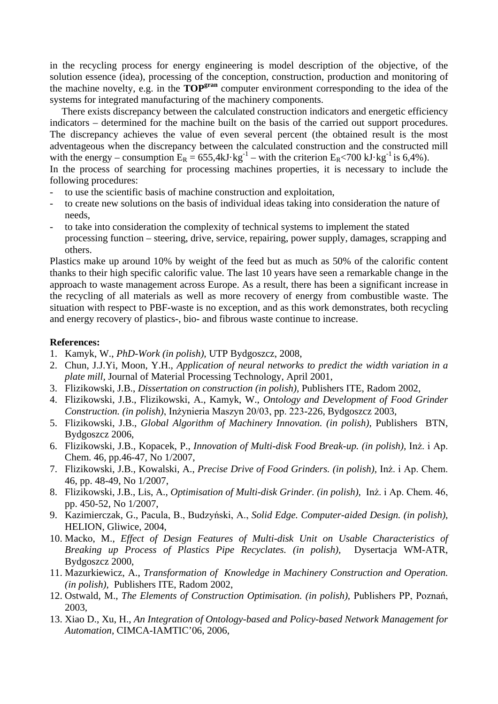in the recycling process for energy engineering is model description of the objective, of the solution essence (idea), processing of the conception, construction, production and monitoring of the machine novelty, e.g. in the **TOPgran** computer environment corresponding to the idea of the systems for integrated manufacturing of the machinery components.

There exists discrepancy between the calculated construction indicators and energetic efficiency indicators – determined for the machine built on the basis of the carried out support procedures. The discrepancy achieves the value of even several percent (the obtained result is the most adventageous when the discrepancy between the calculated construction and the constructed mill with the energy – consumption  $E_R = 655,4kJ \cdot kg^{-1}$  – with the criterion  $E_R < 700$  kJ $\cdot$ kg<sup>-1</sup> is 6,4%). In the process of searching for processing machines properties, it is necessary to include the following procedures:

- to use the scientific basis of machine construction and exploitation,
- to create new solutions on the basis of individual ideas taking into consideration the nature of needs,
- to take into consideration the complexity of technical systems to implement the stated processing function – steering, drive, service, repairing, power supply, damages, scrapping and others.

Plastics make up around 10% by weight of the feed but as much as 50% of the calorific content thanks to their high specific calorific value. The last 10 years have seen a remarkable change in the approach to waste management across Europe. As a result, there has been a significant increase in the recycling of all materials as well as more recovery of energy from combustible waste. The situation with respect to PBF-waste is no exception, and as this work demonstrates, both recycling and energy recovery of plastics-, bio- and fibrous waste continue to increase.

## **References:**

- 1. Kamyk, W., *PhD-Work (in polish),* UTP Bydgoszcz, 2008,
- 2. Chun, J.J.Yi, Moon, Y.H., *Application of neural networks to predict the width variation in a plate mill,* Journal of Material Processing Technology, April 2001,
- 3. Flizikowski, J.B., *Dissertation on construction (in polish),* Publishers ITE, Radom 2002,
- 4. Flizikowski, J.B., Flizikowski, A., Kamyk, W., *Ontology and Development of Food Grinder Construction. (in polish)*, Inżynieria Maszyn 20/03, pp. 223-226, Bydgoszcz 2003,
- 5. Flizikowski, J.B., *Global Algorithm of Machinery Innovation. (in polish),* Publishers BTN, Bydgoszcz 2006,
- 6. Flizikowski, J.B., Kopacek, P., *Innovation of Multi-disk Food Break-up. (in polish),* Inż. i Ap. Chem. 46, pp.46-47, No 1/2007,
- 7. Flizikowski, J.B., Kowalski, A., *Precise Drive of Food Grinders. (in polish),* Inż. i Ap. Chem. 46, pp. 48-49, No 1/2007,
- 8. Flizikowski, J.B., Lis, A., *Optimisation of Multi-disk Grinder. (in polish),* Inż. i Ap. Chem. 46, pp. 450-52, No 1/2007,
- 9. Kazimierczak, G., Pacula, B., Budzyński, A., *Solid Edge. Computer-aided Design. (in polish),* HELION, Gliwice, 2004,
- 10. Macko, M., *Effect of Design Features of Multi-disk Unit on Usable Characteristics of Breaking up Process of Plastics Pipe Recyclates. (in polish),* Dysertacja WM-ATR, Bydgoszcz 2000,
- 11. Mazurkiewicz, A., *Transformation of Knowledge in Machinery Construction and Operation. (in polish),* Publishers ITE, Radom 2002,
- 12. Ostwald, M., *The Elements of Construction Optimisation. (in polish),* Publishers PP, Poznań, 2003,
- 13. Xiao D., Xu, H., *An Integration of Ontology-based and Policy-based Network Management for Automation,* CIMCA-IAMTIC'06, 2006,